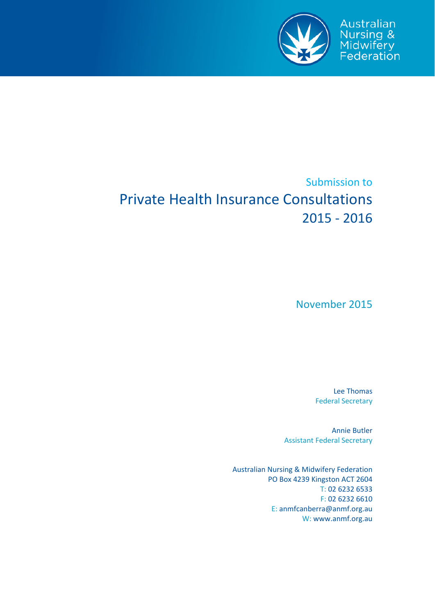

# Submission to Private Health Insurance Consultations 2015 ‐ 2016

November 2015

Lee Thomas Federal Secretary

Annie Butler Assistant Federal Secretary

Australian Nursing & Midwifery Federation PO Box 4239 Kingston ACT 2604 T: 02 6232 6533 F: 02 6232 6610 E: anmfcanberra@anmf.org.au W: www.anmf.org.au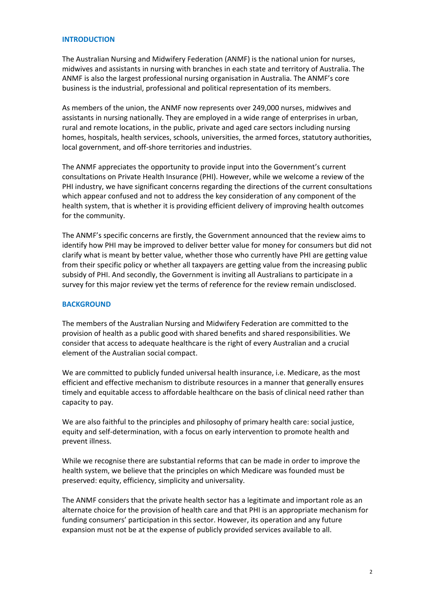#### **INTRODUCTION**

The Australian Nursing and Midwifery Federation (ANMF) is the national union for nurses, midwives and assistants in nursing with branches in each state and territory of Australia. The ANMF is also the largest professional nursing organisation in Australia. The ANMF's core business is the industrial, professional and political representation of its members.

As members of the union, the ANMF now represents over 249,000 nurses, midwives and assistants in nursing nationally. They are employed in a wide range of enterprises in urban, rural and remote locations, in the public, private and aged care sectors including nursing homes, hospitals, health services, schools, universities, the armed forces, statutory authorities, local government, and off‐shore territories and industries.

The ANMF appreciates the opportunity to provide input into the Government's current consultations on Private Health Insurance (PHI). However, while we welcome a review of the PHI industry, we have significant concerns regarding the directions of the current consultations which appear confused and not to address the key consideration of any component of the health system, that is whether it is providing efficient delivery of improving health outcomes for the community.

The ANMF's specific concerns are firstly, the Government announced that the review aims to identify how PHI may be improved to deliver better value for money for consumers but did not clarify what is meant by better value, whether those who currently have PHI are getting value from their specific policy or whether all taxpayers are getting value from the increasing public subsidy of PHI. And secondly, the Government is inviting all Australians to participate in a survey for this major review yet the terms of reference for the review remain undisclosed.

# **BACKGROUND**

The members of the Australian Nursing and Midwifery Federation are committed to the provision of health as a public good with shared benefits and shared responsibilities. We consider that access to adequate healthcare is the right of every Australian and a crucial element of the Australian social compact.

We are committed to publicly funded universal health insurance, i.e. Medicare, as the most efficient and effective mechanism to distribute resources in a manner that generally ensures timely and equitable access to affordable healthcare on the basis of clinical need rather than capacity to pay.

We are also faithful to the principles and philosophy of primary health care: social justice, equity and self‐determination, with a focus on early intervention to promote health and prevent illness.

While we recognise there are substantial reforms that can be made in order to improve the health system, we believe that the principles on which Medicare was founded must be preserved: equity, efficiency, simplicity and universality.

The ANMF considers that the private health sector has a legitimate and important role as an alternate choice for the provision of health care and that PHI is an appropriate mechanism for funding consumers' participation in this sector. However, its operation and any future expansion must not be at the expense of publicly provided services available to all.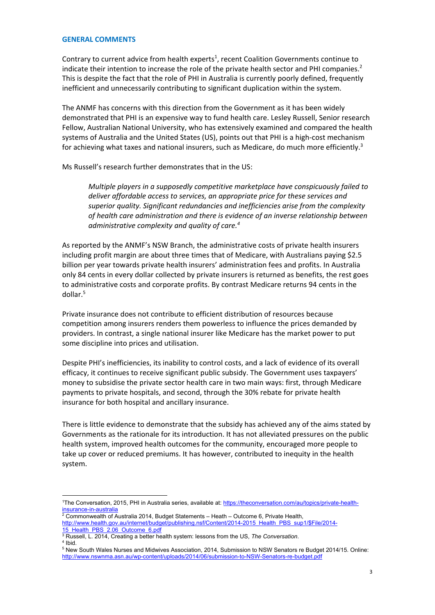#### **GENERAL COMMENTS**

Contrary to current advice from health experts<sup>1</sup>, recent Coalition Governments continue to indicate their intention to increase the role of the private health sector and PHI companies.<sup>2</sup> This is despite the fact that the role of PHI in Australia is currently poorly defined, frequently inefficient and unnecessarily contributing to significant duplication within the system.

The ANMF has concerns with this direction from the Government as it has been widely demonstrated that PHI is an expensive way to fund health care. Lesley Russell, Senior research Fellow, Australian National University, who has extensively examined and compared the health systems of Australia and the United States (US), points out that PHI is a high-cost mechanism for achieving what taxes and national insurers, such as Medicare, do much more efficiently.<sup>3</sup>

Ms Russell's research further demonstrates that in the US:

*Multiple players in a supposedly competitive marketplace have conspicuously failed to deliver affordable access to services, an appropriate price for these services and superior quality. Significant redundancies and inefficiencies arise from the complexity of health care administration and there is evidence of an inverse relationship between administrative complexity and quality of care.4*

As reported by the ANMF's NSW Branch, the administrative costs of private health insurers including profit margin are about three times that of Medicare, with Australians paying \$2.5 billion per year towards private health insurers' administration fees and profits. In Australia only 84 cents in every dollar collected by private insurers is returned as benefits, the rest goes to administrative costs and corporate profits. By contrast Medicare returns 94 cents in the dollar.<sup>5</sup>

Private insurance does not contribute to efficient distribution of resources because competition among insurers renders them powerless to influence the prices demanded by providers. In contrast, a single national insurer like Medicare has the market power to put some discipline into prices and utilisation.

Despite PHI's inefficiencies, its inability to control costs, and a lack of evidence of its overall efficacy, it continues to receive significant public subsidy. The Government uses taxpayers' money to subsidise the private sector health care in two main ways: first, through Medicare payments to private hospitals, and second, through the 30% rebate for private health insurance for both hospital and ancillary insurance.

There is little evidence to demonstrate that the subsidy has achieved any of the aims stated by Governments as the rationale for its introduction. It has not alleviated pressures on the public health system, improved health outcomes for the community, encouraged more people to take up cover or reduced premiums. It has however, contributed to inequity in the health system.

<sup>4</sup> Ibid.

<u>.</u>

<sup>&</sup>lt;sup>1</sup>The Conversation, 2015, PHI in Australia series, available at: https://theconversation.com/au/topics/private-healthinsurance-in-australia

<sup>2</sup> Commonwealth of Australia 2014, Budget Statements – Heath – Outcome 6, Private Health, http://www.health.gov.au/internet/budget/publishing.nsf/Content/2014-2015\_Health\_PBS\_sup1/\$File/2014-

<sup>15</sup>\_Health\_PBS\_2.06\_Outcome\_6.pdf<br>3 Pussell 1, 2014, Creating a better be

<sup>&</sup>lt;sup>3</sup> Russell, L. 2014, Creating a better health system: lessons from the US, *The Conversation*.<br><sup>4</sup> Ibid

<sup>&</sup>lt;sup>5</sup> New South Wales Nurses and Midwives Association, 2014, Submission to NSW Senators re Budget 2014/15. Online: http://www.nswnma.asn.au/wp-content/uploads/2014/06/submission-to-NSW-Senators-re-budget.pdf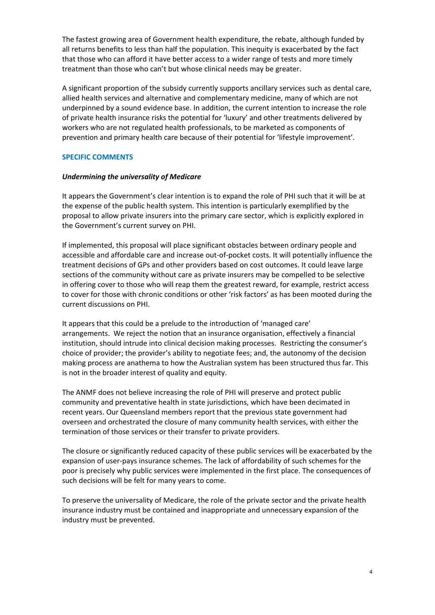The fastest growing area of Government health expenditure, the rebate, although funded by all returns benefits to less than half the population. This inequity is exacerbated by the fact that those who can afford it have better access to a wider range of tests and more timely treatment than those who can't but whose clinical needs may be greater.

A significant proportion of the subsidy currently supports ancillary services such as dental care, allied health services and alternative and complementary medicine, many of which are not underpinned by a sound evidence base. In addition, the current intention to increase the role of private health insurance risks the potential for 'luxury' and other treatments delivered by workers who are not regulated health professionals, to be marketed as components of prevention and primary health care because of their potential for 'lifestyle improvement'.

# **SPECIFIC COMMENTS**

# *Undermining the universality of Medicare*

It appears the Government's clear intention is to expand the role of PHI such that it will be at the expense of the public health system. This intention is particularly exemplified by the proposal to allow private insurers into the primary care sector, which is explicitly explored in the Government's current survey on PHI.

If implemented, this proposal will place significant obstacles between ordinary people and accessible and affordable care and increase out‐of‐pocket costs. It will potentially influence the treatment decisions of GPs and other providers based on cost outcomes. It could leave large sections of the community without care as private insurers may be compelled to be selective in offering cover to those who will reap them the greatest reward, for example, restrict access to cover for those with chronic conditions or other 'risk factors' as has been mooted during the current discussions on PHI.

It appears that this could be a prelude to the introduction of 'managed care' arrangements. We reject the notion that an insurance organisation, effectively a financial institution, should intrude into clinical decision making processes. Restricting the consumer's choice of provider; the provider's ability to negotiate fees; and, the autonomy of the decision making process are anathema to how the Australian system has been structured thus far. This is not in the broader interest of quality and equity.

The ANMF does not believe increasing the role of PHI will preserve and protect public community and preventative health in state jurisdictions, which have been decimated in recent years. Our Queensland members report that the previous state government had overseen and orchestrated the closure of many community health services, with either the termination of those services or their transfer to private providers.

The closure or significantly reduced capacity of these public services will be exacerbated by the expansion of user‐pays insurance schemes. The lack of affordability of such schemes for the poor is precisely why public services were implemented in the first place. The consequences of such decisions will be felt for many years to come.

To preserve the universality of Medicare, the role of the private sector and the private health insurance industry must be contained and inappropriate and unnecessary expansion of the industry must be prevented.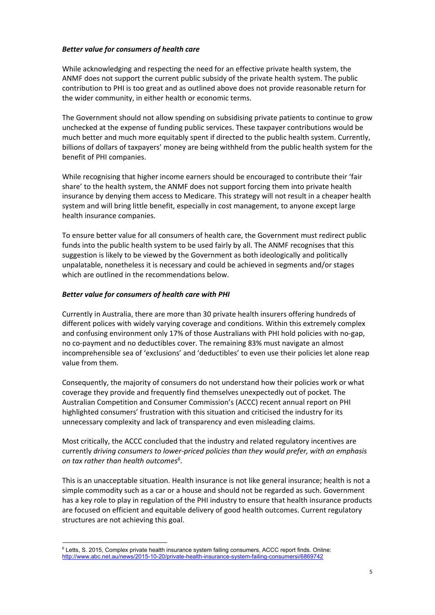# *Better value for consumers of health care*

While acknowledging and respecting the need for an effective private health system, the ANMF does not support the current public subsidy of the private health system. The public contribution to PHI is too great and as outlined above does not provide reasonable return for the wider community, in either health or economic terms.

The Government should not allow spending on subsidising private patients to continue to grow unchecked at the expense of funding public services. These taxpayer contributions would be much better and much more equitably spent if directed to the public health system. Currently, billions of dollars of taxpayers' money are being withheld from the public health system for the benefit of PHI companies.

While recognising that higher income earners should be encouraged to contribute their 'fair share' to the health system, the ANMF does not support forcing them into private health insurance by denying them access to Medicare. This strategy will not result in a cheaper health system and will bring little benefit, especially in cost management, to anyone except large health insurance companies.

To ensure better value for all consumers of health care, the Government must redirect public funds into the public health system to be used fairly by all. The ANMF recognises that this suggestion is likely to be viewed by the Government as both ideologically and politically unpalatable, nonetheless it is necessary and could be achieved in segments and/or stages which are outlined in the recommendations below.

# *Better value for consumers of health care with PHI*

Currently in Australia, there are more than 30 private health insurers offering hundreds of different polices with widely varying coverage and conditions. Within this extremely complex and confusing environment only 17% of those Australians with PHI hold policies with no‐gap, no co‐payment and no deductibles cover. The remaining 83% must navigate an almost incomprehensible sea of 'exclusions' and 'deductibles' to even use their policies let alone reap value from them.

Consequently, the majority of consumers do not understand how their policies work or what coverage they provide and frequently find themselves unexpectedly out of pocket. The Australian Competition and Consumer Commission's (ACCC) recent annual report on PHI highlighted consumers' frustration with this situation and criticised the industry for its unnecessary complexity and lack of transparency and even misleading claims.

Most critically, the ACCC concluded that the industry and related regulatory incentives are currently *driving consumers to lower‐priced policies than they would prefer, with an emphasis on tax rather than health outcomes6* .

This is an unacceptable situation. Health insurance is not like general insurance; health is not a simple commodity such as a car or a house and should not be regarded as such. Government has a key role to play in regulation of the PHI industry to ensure that health insurance products are focused on efficient and equitable delivery of good health outcomes. Current regulatory structures are not achieving this goal.

<sup>1</sup> <sup>6</sup> Letts, S. 2015, Complex private health insurance system failing consumers, ACCC report finds. Online: http://www.abc.net.au/news/2015-10-20/private-health-insurance-system-failing-consumersi/6869742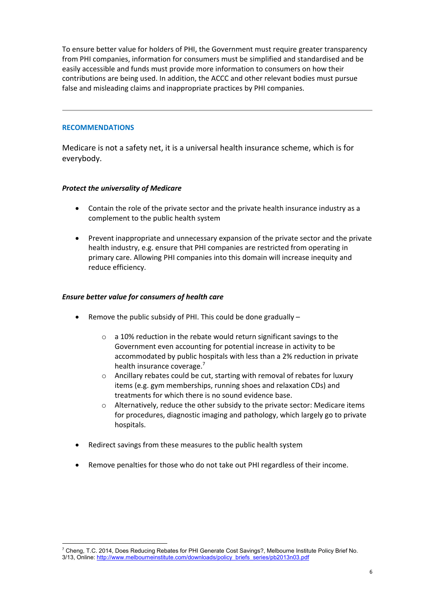To ensure better value for holders of PHI, the Government must require greater transparency from PHI companies, information for consumers must be simplified and standardised and be easily accessible and funds must provide more information to consumers on how their contributions are being used. In addition, the ACCC and other relevant bodies must pursue false and misleading claims and inappropriate practices by PHI companies.

# **RECOMMENDATIONS**

Medicare is not a safety net, it is a universal health insurance scheme, which is for everybody.

# *Protect the universality of Medicare*

- Contain the role of the private sector and the private health insurance industry as a complement to the public health system
- Prevent inappropriate and unnecessary expansion of the private sector and the private health industry, e.g. ensure that PHI companies are restricted from operating in primary care. Allowing PHI companies into this domain will increase inequity and reduce efficiency.

# *Ensure better value for consumers of health care*

- Remove the public subsidy of PHI. This could be done gradually
	- o a 10% reduction in the rebate would return significant savings to the Government even accounting for potential increase in activity to be accommodated by public hospitals with less than a 2% reduction in private health insurance coverage.<sup>7</sup>
	- o Ancillary rebates could be cut, starting with removal of rebates for luxury items (e.g. gym memberships, running shoes and relaxation CDs) and treatments for which there is no sound evidence base.
	- $\circ$  Alternatively, reduce the other subsidy to the private sector: Medicare items for procedures, diagnostic imaging and pathology, which largely go to private hospitals.
- Redirect savings from these measures to the public health system
- Remove penalties for those who do not take out PHI regardless of their income.

<sup>&</sup>lt;u>.</u> 7 Cheng, T.C. 2014, Does Reducing Rebates for PHI Generate Cost Savings?, Melbourne Institute Policy Brief No. 3/13, Online: http://www.melbourneinstitute.com/downloads/policy\_briefs\_series/pb2013n03.pdf